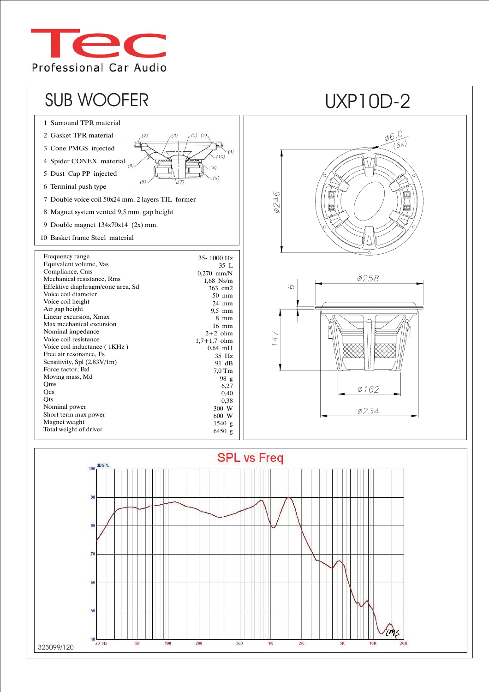



323099/120